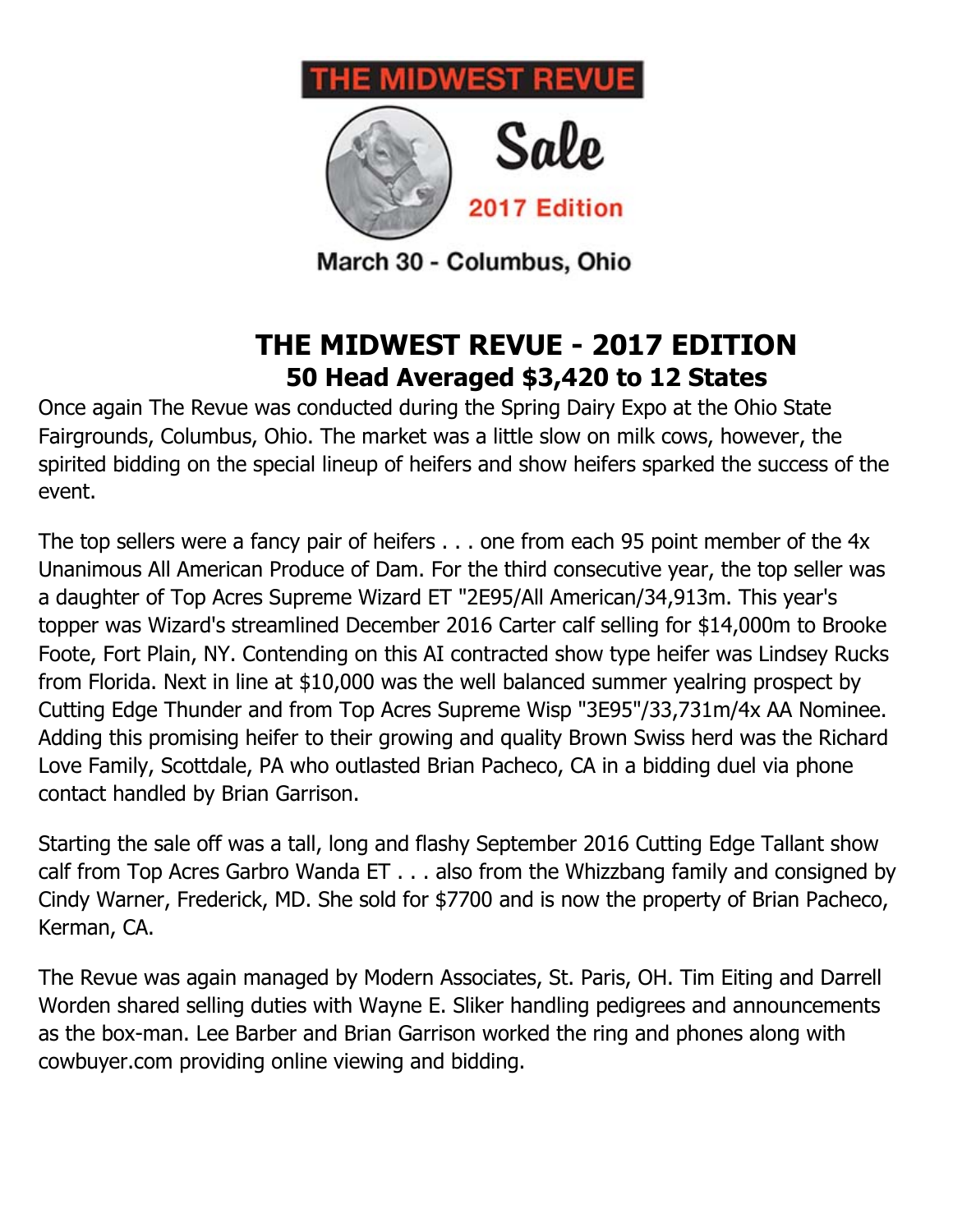



March 30 - Columbus, Ohio

# **THE MIDWEST REVUE - 2017 EDITION 50 Head Averaged \$3,420 to 12 States**

Once again The Revue was conducted during the Spring Dairy Expo at the Ohio State Fairgrounds, Columbus, Ohio. The market was a little slow on milk cows, however, the spirited bidding on the special lineup of heifers and show heifers sparked the success of the event.

The top sellers were a fancy pair of heifers . . . one from each 95 point member of the 4x Unanimous All American Produce of Dam. For the third consecutive year, the top seller was a daughter of Top Acres Supreme Wizard ET "2E95/All American/34,913m. This year's topper was Wizard's streamlined December 2016 Carter calf selling for \$14,000m to Brooke Foote, Fort Plain, NY. Contending on this AI contracted show type heifer was Lindsey Rucks from Florida. Next in line at \$10,000 was the well balanced summer yealring prospect by Cutting Edge Thunder and from Top Acres Supreme Wisp "3E95"/33,731m/4x AA Nominee. Adding this promising heifer to their growing and quality Brown Swiss herd was the Richard Love Family, Scottdale, PA who outlasted Brian Pacheco, CA in a bidding duel via phone contact handled by Brian Garrison.

Starting the sale off was a tall, long and flashy September 2016 Cutting Edge Tallant show calf from Top Acres Garbro Wanda ET . . . also from the Whizzbang family and consigned by Cindy Warner, Frederick, MD. She sold for \$7700 and is now the property of Brian Pacheco, Kerman, CA.

The Revue was again managed by Modern Associates, St. Paris, OH. Tim Eiting and Darrell Worden shared selling duties with Wayne E. Sliker handling pedigrees and announcements as the box-man. Lee Barber and Brian Garrison worked the ring and phones along with cowbuyer.com providing online viewing and bidding.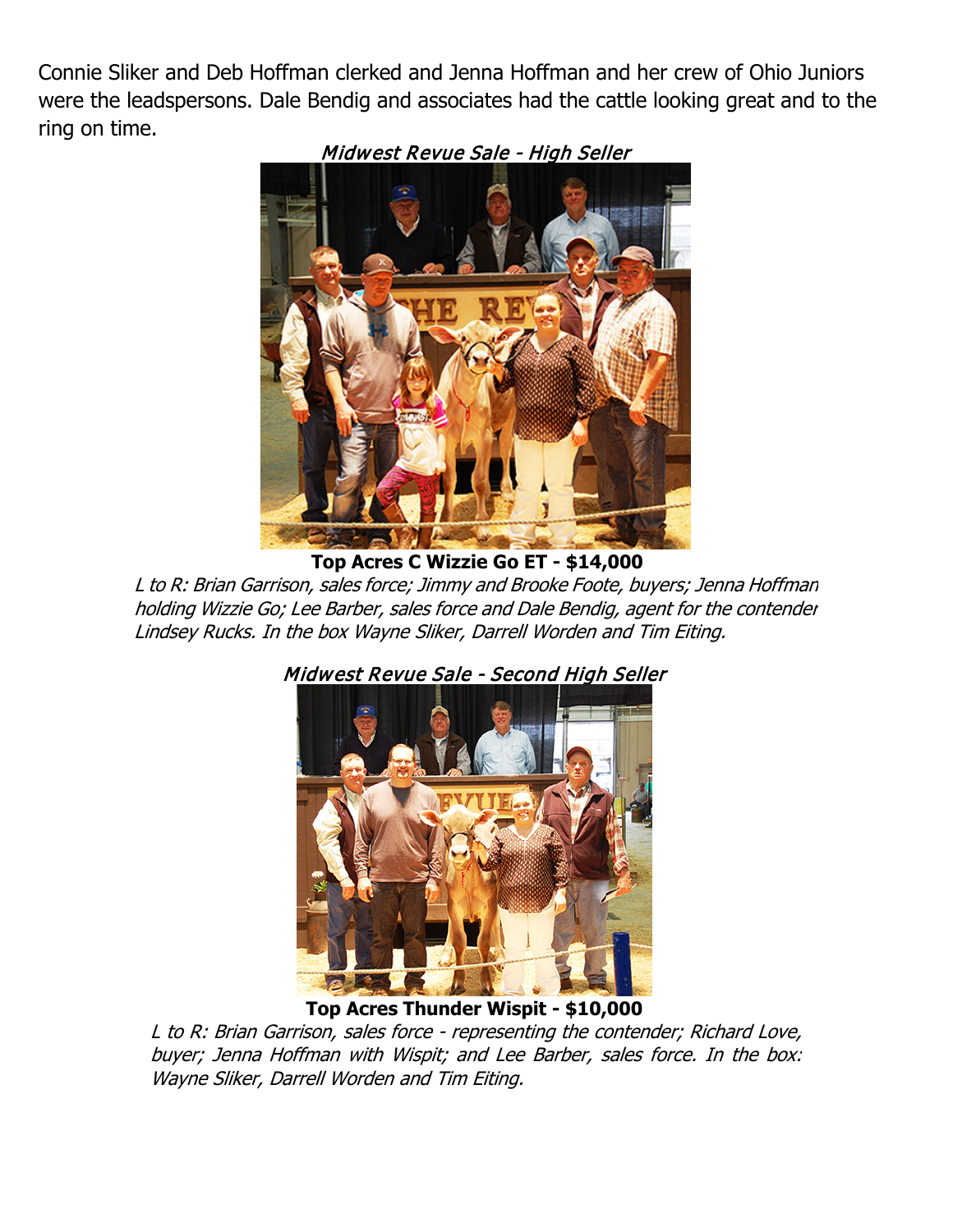Connie Sliker and Deb Hoffman clerked and Jenna Hoffman and her crew of Ohio Juniors were the leadspersons. Dale Bendig and associates had the cattle looking great and to the ring on time.



Midwest Revue Sale - High Seller

**Top Acres C Wizzie Go ET - \$14,000**

L to R: Brian Garrison, sales force; Jimmy and Brooke Foote, buyers; Jenna Hoffman holding Wizzie Go; Lee Barber, sales force and Dale Bendig, agent for the contender Lindsey Rucks. In the box Wayne Sliker, Darrell Worden and Tim Eiting.



# Midwest Revue Sale - Second High Seller

**Top Acres Thunder Wispit - \$10,000**

L to R: Brian Garrison, sales force - representing the contender; Richard Love, buyer; Jenna Hoffman with Wispit; and Lee Barber, sales force. In the box: Wayne Sliker, Darrell Worden and Tim Eiting.